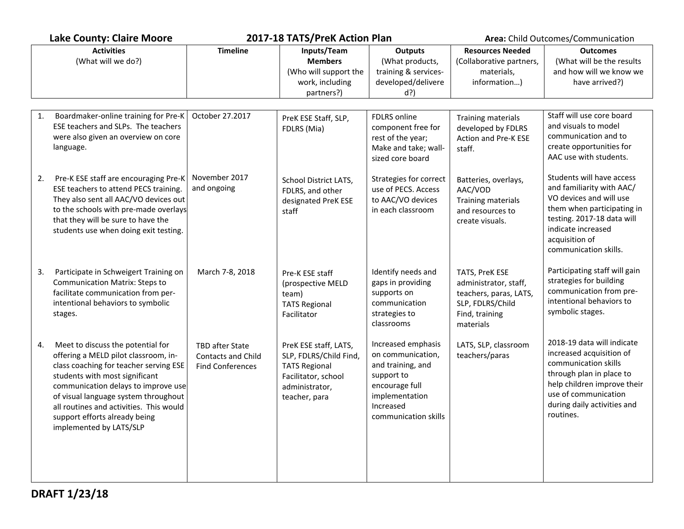|    | <b>Lake County: Claire Moore</b>                                                                                                                                                                                                                                                                                                            | 2017-18 TATS/PreK Action Plan                                           |                                                                                                                                   |                                                                                                                                                     | Area: Child Outcomes/Communication                                                                                   |                                                                                                                                                                                                                |
|----|---------------------------------------------------------------------------------------------------------------------------------------------------------------------------------------------------------------------------------------------------------------------------------------------------------------------------------------------|-------------------------------------------------------------------------|-----------------------------------------------------------------------------------------------------------------------------------|-----------------------------------------------------------------------------------------------------------------------------------------------------|----------------------------------------------------------------------------------------------------------------------|----------------------------------------------------------------------------------------------------------------------------------------------------------------------------------------------------------------|
|    | <b>Activities</b><br>(What will we do?)                                                                                                                                                                                                                                                                                                     | <b>Timeline</b>                                                         | Inputs/Team<br><b>Members</b><br>(Who will support the<br>work, including<br>partners?)                                           | <b>Outputs</b><br>(What products,<br>training & services-<br>developed/delivere<br>$d$ ?)                                                           | <b>Resources Needed</b><br>(Collaborative partners,<br>materials,<br>information)                                    | <b>Outcomes</b><br>(What will be the results<br>and how will we know we<br>have arrived?)                                                                                                                      |
| 1. | Boardmaker-online training for Pre-K<br>ESE teachers and SLPs. The teachers<br>were also given an overview on core<br>language.                                                                                                                                                                                                             | October 27.2017                                                         | PreK ESE Staff, SLP,<br>FDLRS (Mia)                                                                                               | FDLRS online<br>component free for<br>rest of the year;<br>Make and take; wall-<br>sized core board                                                 | Training materials<br>developed by FDLRS<br>Action and Pre-K ESE<br>staff.                                           | Staff will use core board<br>and visuals to model<br>communication and to<br>create opportunities for<br>AAC use with students.                                                                                |
| 2. | Pre-K ESE staff are encouraging Pre-K<br>ESE teachers to attend PECS training.<br>They also sent all AAC/VO devices out<br>to the schools with pre-made overlays<br>that they will be sure to have the<br>students use when doing exit testing.                                                                                             | November 2017<br>and ongoing                                            | School District LATS,<br>FDLRS, and other<br>designated PreK ESE<br>staff                                                         | Strategies for correct<br>use of PECS. Access<br>to AAC/VO devices<br>in each classroom                                                             | Batteries, overlays,<br>AAC/VOD<br>Training materials<br>and resources to<br>create visuals.                         | Students will have access<br>and familiarity with AAC/<br>VO devices and will use<br>them when participating in<br>testing. 2017-18 data will<br>indicate increased<br>acquisition of<br>communication skills. |
| 3. | Participate in Schweigert Training on<br><b>Communication Matrix: Steps to</b><br>facilitate communication from per-<br>intentional behaviors to symbolic<br>stages.                                                                                                                                                                        | March 7-8, 2018                                                         | Pre-K ESE staff<br>(prospective MELD<br>team)<br><b>TATS Regional</b><br>Facilitator                                              | Identify needs and<br>gaps in providing<br>supports on<br>communication<br>strategies to<br>classrooms                                              | TATS, PreK ESE<br>administrator, staff,<br>teachers, paras, LATS,<br>SLP, FDLRS/Child<br>Find, training<br>materials | Participating staff will gain<br>strategies for building<br>communication from pre-<br>intentional behaviors to<br>symbolic stages.                                                                            |
| 4. | Meet to discuss the potential for<br>offering a MELD pilot classroom, in-<br>class coaching for teacher serving ESE<br>students with most significant<br>communication delays to improve use<br>of visual language system throughout<br>all routines and activities. This would<br>support efforts already being<br>implemented by LATS/SLP | TBD after State<br><b>Contacts and Child</b><br><b>Find Conferences</b> | PreK ESE staff, LATS,<br>SLP, FDLRS/Child Find,<br><b>TATS Regional</b><br>Facilitator, school<br>administrator,<br>teacher, para | Increased emphasis<br>on communication,<br>and training, and<br>support to<br>encourage full<br>implementation<br>Increased<br>communication skills | LATS, SLP, classroom<br>teachers/paras                                                                               | 2018-19 data will indicate<br>increased acquisition of<br>communication skills<br>through plan in place to<br>help children improve their<br>use of communication<br>during daily activities and<br>routines.  |